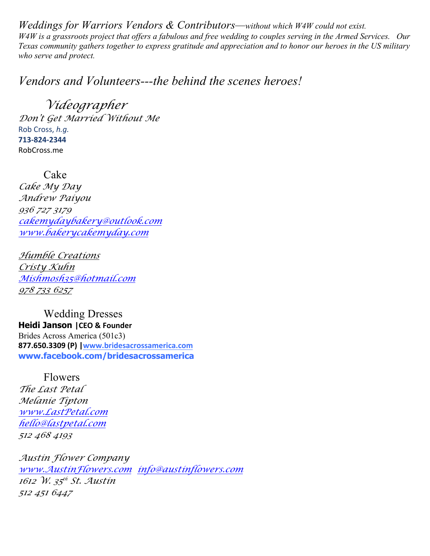*Weddings for Warriors Vendors & Contributors—without which W4W could not exist. W4W is a grassroots project that offers a fabulous and free wedding to couples serving in the Armed Services. Our Texas community gathers together to express gratitude and appreciation and to honor our heroes in the US military who serve and protect.*

*Vendors and Volunteers---the behind the scenes heroes!*

*Videographer Don't Get Married Without Me* Rob Cross, h.g. **713-824-2344** RobCross.me

Cake *Cake My Day Andrew Paiyou 936 727 3179 cakemydaybakery@outlook.com www.bakerycakemyday.com*

*Humble Creations Cristy Kuhn Mishmosh35@hotmail.com 978 733 6257*

Wedding Dresses **Heidi Janson |CEO & Founder** Brides Across America (501c3) **877.650.3309 (P) |www.bridesacrossamerica.com www.facebook.com/bridesacrossamerica**

Flowers *The Last Petal Melanie Tipton www.LastPetal.com hello@lastpetal.com 512 468 4193*

*Austin Flower Company www.AustinFlowers.com info@austinflowers.com 1612 W. 35th St. Austin 512 451 6447*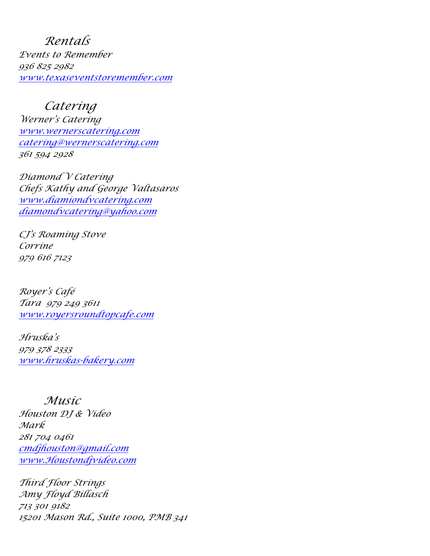*Rentals Events to Remember 936 825 2982 www.texaseventstoremember.com*

*Catering Werner's Catering www.wernerscatering.com catering@wernerscatering.com 361 594 2928*

*Diamond V Catering Chefs Kathy and George Valtasaros www.diamiondvcatering.com diamondvcatering@yahoo.com*

*CJ's Roaming Stove Corrine 979 616 7123*

*Royer's Café Tara 979 249 3611 www.royersroundtopcafe.com*

*Hruska's 979 378 2333 www.hruskas-bakery.com* 

## *Music*

*Houston DJ & Video Mark 281 704 0461 cmdjhouston@gmail.com www.Houstondjvideo.com*

*Third Floor Strings Amy Floyd Billasch 713 301 9182 15201 Mason Rd., Suite 1000, PMB 341*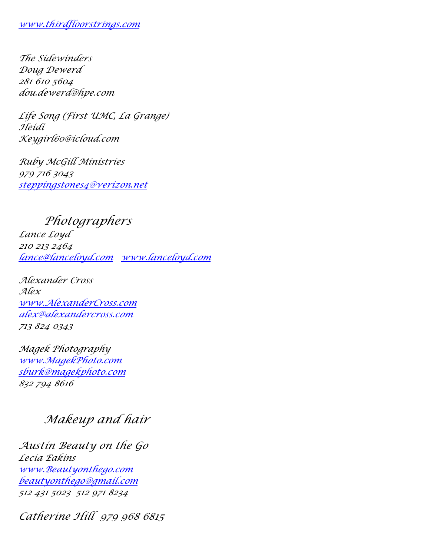## *www.thirdfloorstrings.com*

*The Sidewinders Doug Dewerd 281 610 5604 dou.dewerd@hpe.com*

*Life Song (First UMC, La Grange) Heidi Keygirl60@icloud.com*

*Ruby McGill Ministries 979 716 3043 steppingstones4@verizon.net*

*Photographers*

*Lance Loyd 210 213 2464 lance@lanceloyd.com www.lanceloyd.com*

*Alexander Cross Alex www.AlexanderCross.com alex@alexandercross.com 713 824 0343*

*Magek Photography www.MagekPhoto.com sburk@magekphoto.com 832 794 8616*

## *Makeup and hair*

*Austin Beauty on the Go Lecia Eakins www.Beautyonthego.com beautyonthego@gmail.com 512 431 5023 512 971 8234*

*Catherine Hill 979 968 6815*